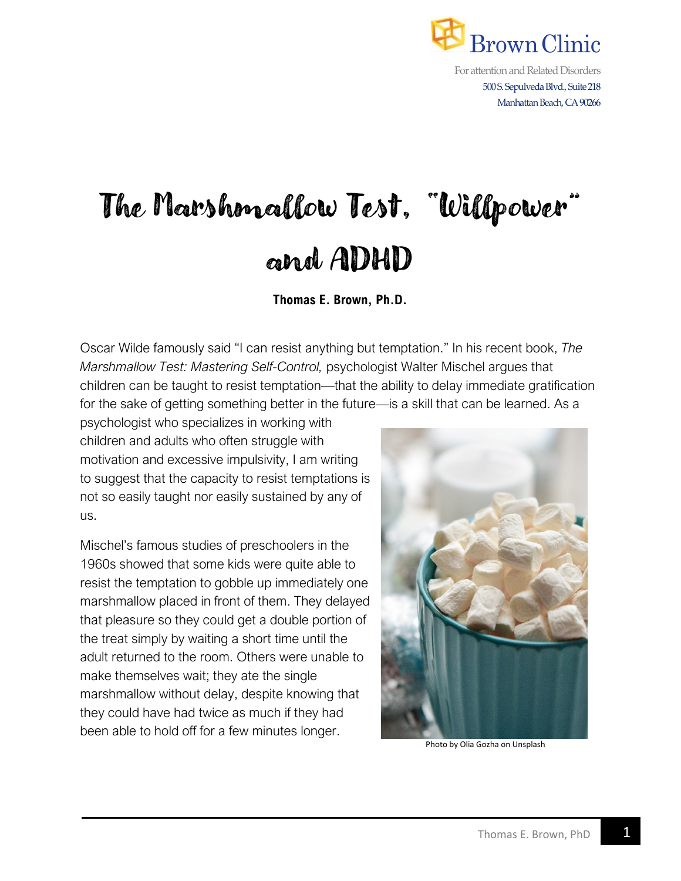

For attention and Related Disorders 500 S. Sepulveda Blvd., Suite 218 Manhattan Beach, CA 90266

# The Marshmallow Test, "Willpower" and ADHD

#### **Thomas E. Brown, Ph.D.**

Oscar Wilde famously said "I can resist anything but temptation." In his recent book, *The Marshmallow Test: Mastering Self-Control,* psychologist Walter Mischel argues that children can be taught to resist temptation—that the ability to delay immediate gratification for the sake of getting something better in the future—is a skill that can be learned. As a

psychologist who specializes in working with children and adults who often struggle with motivation and excessive impulsivity, I am writing to suggest that the capacity to resist temptations is not so easily taught nor easily sustained by any of us.

Mischel's famous studies of preschoolers in the 1960s showed that some kids were quite able to resist the temptation to gobble up immediately one marshmallow placed in front of them. They delayed that pleasure so they could get a double portion of the treat simply by waiting a short time until the adult returned to the room. Others were unable to make themselves wait; they ate the single marshmallow without delay, despite knowing that they could have had twice as much if they had been able to hold off for a few minutes longer.



Photo by Olia Gozha on Unsplash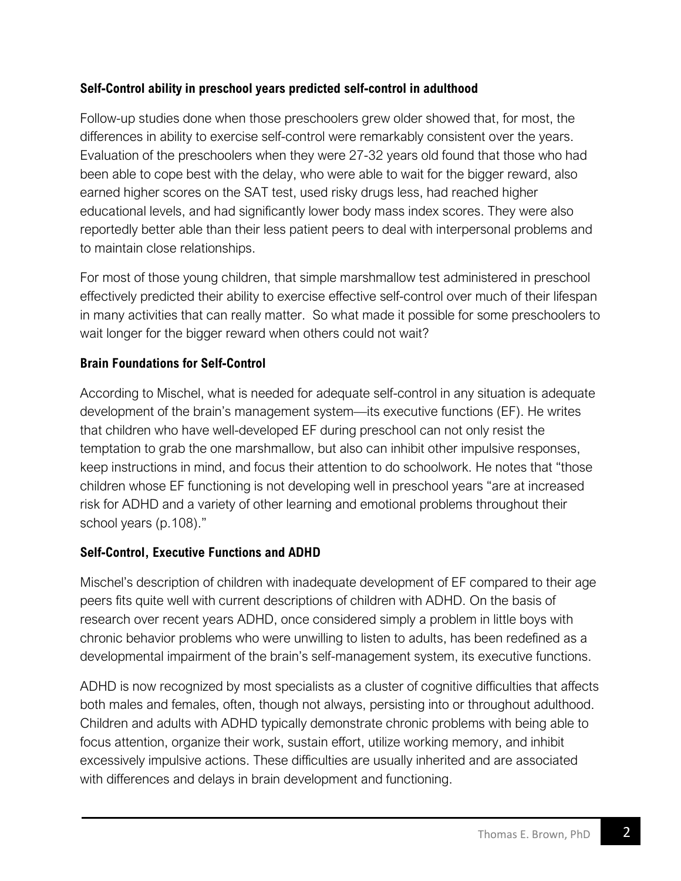## **Self-Control ability in preschool years predicted self-control in adulthood**

Follow-up studies done when those preschoolers grew older showed that, for most, the differences in ability to exercise self-control were remarkably consistent over the years. Evaluation of the preschoolers when they were 27-32 years old found that those who had been able to cope best with the delay, who were able to wait for the bigger reward, also earned higher scores on the SAT test, used risky drugs less, had reached higher educational levels, and had significantly lower body mass index scores. They were also reportedly better able than their less patient peers to deal with interpersonal problems and to maintain close relationships.

For most of those young children, that simple marshmallow test administered in preschool effectively predicted their ability to exercise effective self-control over much of their lifespan in many activities that can really matter. So what made it possible for some preschoolers to wait longer for the bigger reward when others could not wait?

# **Brain Foundations for Self-Control**

According to Mischel, what is needed for adequate self-control in any situation is adequate development of the brain's management system—its executive functions (EF). He writes that children who have well-developed EF during preschool can not only resist the temptation to grab the one marshmallow, but also can inhibit other impulsive responses, keep instructions in mind, and focus their attention to do schoolwork. He notes that "those children whose EF functioning is not developing well in preschool years "are at increased risk for ADHD and a variety of other learning and emotional problems throughout their school years (p.108)."

## **Self-Control, Executive Functions and ADHD**

Mischel's description of children with inadequate development of EF compared to their age peers fits quite well with current descriptions of children with ADHD. On the basis of research over recent years ADHD, once considered simply a problem in little boys with chronic behavior problems who were unwilling to listen to adults, has been redefined as a developmental impairment of the brain's self-management system, its executive functions.

ADHD is now recognized by most specialists as a cluster of cognitive difficulties that affects both males and females, often, though not always, persisting into or throughout adulthood. Children and adults with ADHD typically demonstrate chronic problems with being able to focus attention, organize their work, sustain effort, utilize working memory, and inhibit excessively impulsive actions. These difficulties are usually inherited and are associated with differences and delays in brain development and functioning.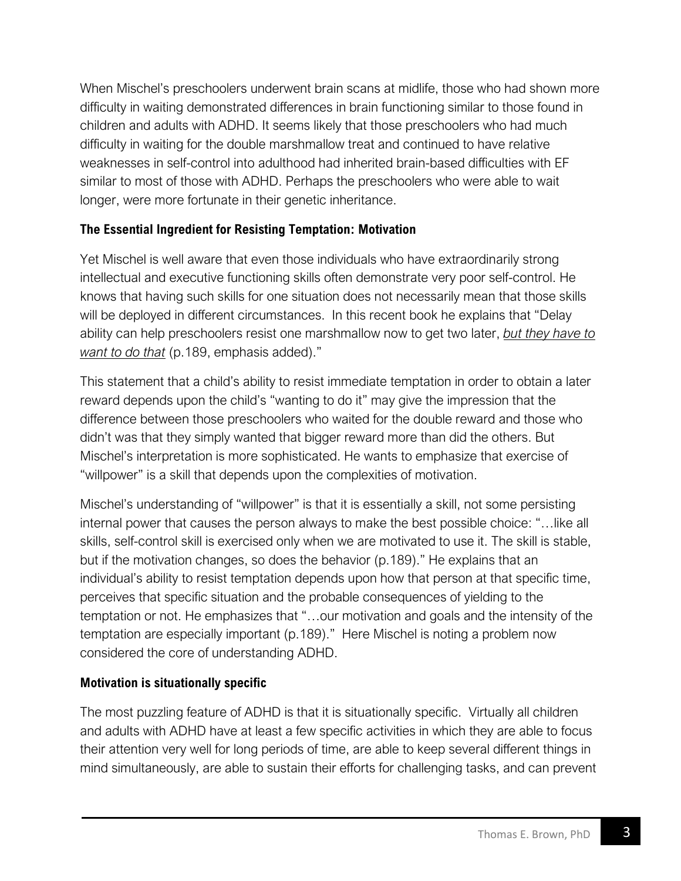When Mischel's preschoolers underwent brain scans at midlife, those who had shown more difficulty in waiting demonstrated differences in brain functioning similar to those found in children and adults with ADHD. It seems likely that those preschoolers who had much difficulty in waiting for the double marshmallow treat and continued to have relative weaknesses in self-control into adulthood had inherited brain-based difficulties with EF similar to most of those with ADHD. Perhaps the preschoolers who were able to wait longer, were more fortunate in their genetic inheritance.

# **The Essential Ingredient for Resisting Temptation: Motivation**

Yet Mischel is well aware that even those individuals who have extraordinarily strong intellectual and executive functioning skills often demonstrate very poor self-control. He knows that having such skills for one situation does not necessarily mean that those skills will be deployed in different circumstances. In this recent book he explains that "Delay ability can help preschoolers resist one marshmallow now to get two later, *but they have to want to do that* (p.189, emphasis added)."

This statement that a child's ability to resist immediate temptation in order to obtain a later reward depends upon the child's "wanting to do it" may give the impression that the difference between those preschoolers who waited for the double reward and those who didn't was that they simply wanted that bigger reward more than did the others. But Mischel's interpretation is more sophisticated. He wants to emphasize that exercise of "willpower" is a skill that depends upon the complexities of motivation.

Mischel's understanding of "willpower" is that it is essentially a skill, not some persisting internal power that causes the person always to make the best possible choice: "…like all skills, self-control skill is exercised only when we are motivated to use it. The skill is stable, but if the motivation changes, so does the behavior (p.189)." He explains that an individual's ability to resist temptation depends upon how that person at that specific time, perceives that specific situation and the probable consequences of yielding to the temptation or not. He emphasizes that "…our motivation and goals and the intensity of the temptation are especially important (p.189)." Here Mischel is noting a problem now considered the core of understanding ADHD.

## **Motivation is situationally specific**

The most puzzling feature of ADHD is that it is situationally specific. Virtually all children and adults with ADHD have at least a few specific activities in which they are able to focus their attention very well for long periods of time, are able to keep several different things in mind simultaneously, are able to sustain their efforts for challenging tasks, and can prevent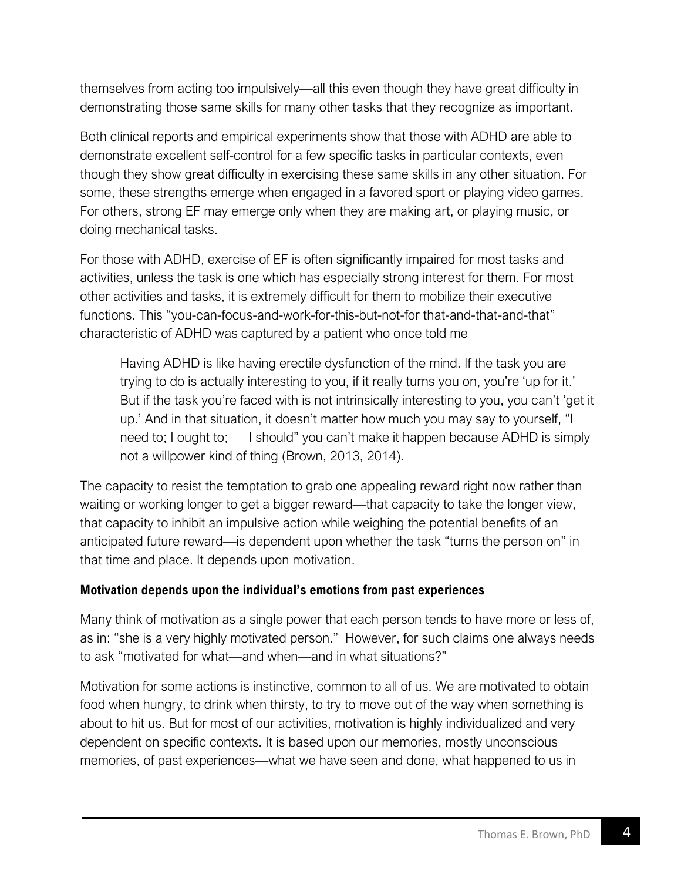themselves from acting too impulsively—all this even though they have great difficulty in demonstrating those same skills for many other tasks that they recognize as important.

Both clinical reports and empirical experiments show that those with ADHD are able to demonstrate excellent self-control for a few specific tasks in particular contexts, even though they show great difficulty in exercising these same skills in any other situation. For some, these strengths emerge when engaged in a favored sport or playing video games. For others, strong EF may emerge only when they are making art, or playing music, or doing mechanical tasks.

For those with ADHD, exercise of EF is often significantly impaired for most tasks and activities, unless the task is one which has especially strong interest for them. For most other activities and tasks, it is extremely difficult for them to mobilize their executive functions. This "you-can-focus-and-work-for-this-but-not-for that-and-that-and-that" characteristic of ADHD was captured by a patient who once told me

Having ADHD is like having erectile dysfunction of the mind. If the task you are trying to do is actually interesting to you, if it really turns you on, you're 'up for it.' But if the task you're faced with is not intrinsically interesting to you, you can't 'get it up.' And in that situation, it doesn't matter how much you may say to yourself, "I need to; I ought to; I should" you can't make it happen because ADHD is simply not a willpower kind of thing (Brown, 2013, 2014).

The capacity to resist the temptation to grab one appealing reward right now rather than waiting or working longer to get a bigger reward—that capacity to take the longer view, that capacity to inhibit an impulsive action while weighing the potential benefits of an anticipated future reward—is dependent upon whether the task "turns the person on" in that time and place. It depends upon motivation.

#### **Motivation depends upon the individual's emotions from past experiences**

Many think of motivation as a single power that each person tends to have more or less of, as in: "she is a very highly motivated person." However, for such claims one always needs to ask "motivated for what—and when—and in what situations?"

Motivation for some actions is instinctive, common to all of us. We are motivated to obtain food when hungry, to drink when thirsty, to try to move out of the way when something is about to hit us. But for most of our activities, motivation is highly individualized and very dependent on specific contexts. It is based upon our memories, mostly unconscious memories, of past experiences—what we have seen and done, what happened to us in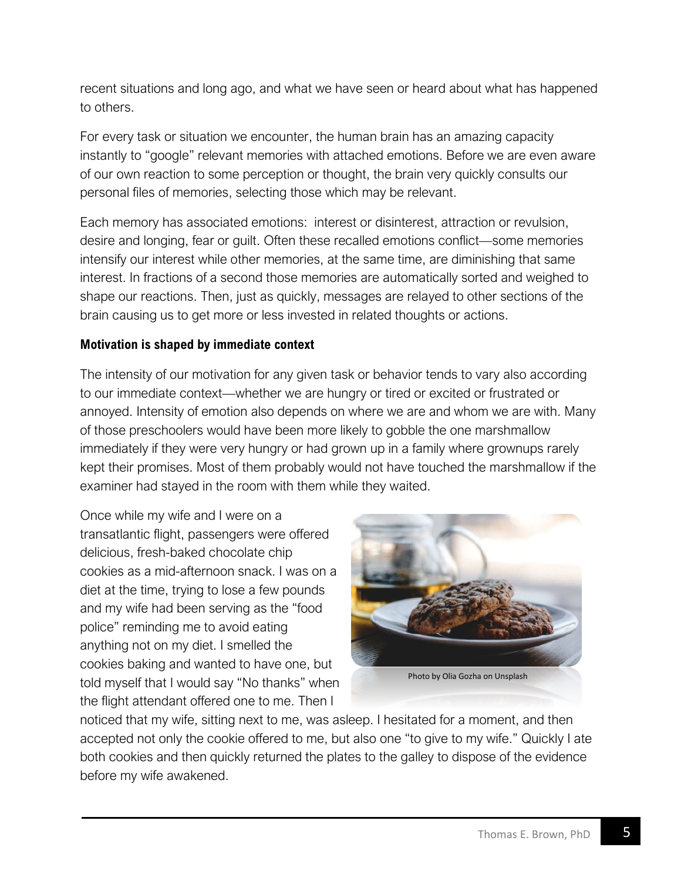recent situations and long ago, and what we have seen or heard about what has happened to others.

For every task or situation we encounter, the human brain has an amazing capacity instantly to "google" relevant memories with attached emotions. Before we are even aware of our own reaction to some perception or thought, the brain very quickly consults our personal files of memories, selecting those which may be relevant.

Each memory has associated emotions: interest or disinterest, attraction or revulsion, desire and longing, fear or guilt. Often these recalled emotions conflict—some memories intensify our interest while other memories, at the same time, are diminishing that same interest. In fractions of a second those memories are automatically sorted and weighed to shape our reactions. Then, just as quickly, messages are relayed to other sections of the brain causing us to get more or less invested in related thoughts or actions.

#### **Motivation is shaped by immediate context**

The intensity of our motivation for any given task or behavior tends to vary also according to our immediate context—whether we are hungry or tired or excited or frustrated or annoyed. Intensity of emotion also depends on where we are and whom we are with. Many of those preschoolers would have been more likely to gobble the one marshmallow immediately if they were very hungry or had grown up in a family where grownups rarely kept their promises. Most of them probably would not have touched the marshmallow if the examiner had stayed in the room with them while they waited.

Once while my wife and I were on a transatlantic flight, passengers were offered delicious, fresh-baked chocolate chip cookies as a mid-afternoon snack. I was on a diet at the time, trying to lose a few pounds and my wife had been serving as the "food police" reminding me to avoid eating anything not on my diet. I smelled the cookies baking and wanted to have one, but told myself that I would say "No thanks" when the flight attendant offered one to me. Then I



noticed that my wife, sitting next to me, was asleep. I hesitated for a moment, and then accepted not only the cookie offered to me, but also one "to give to my wife." Quickly I ate both cookies and then quickly returned the plates to the galley to dispose of the evidence before my wife awakened.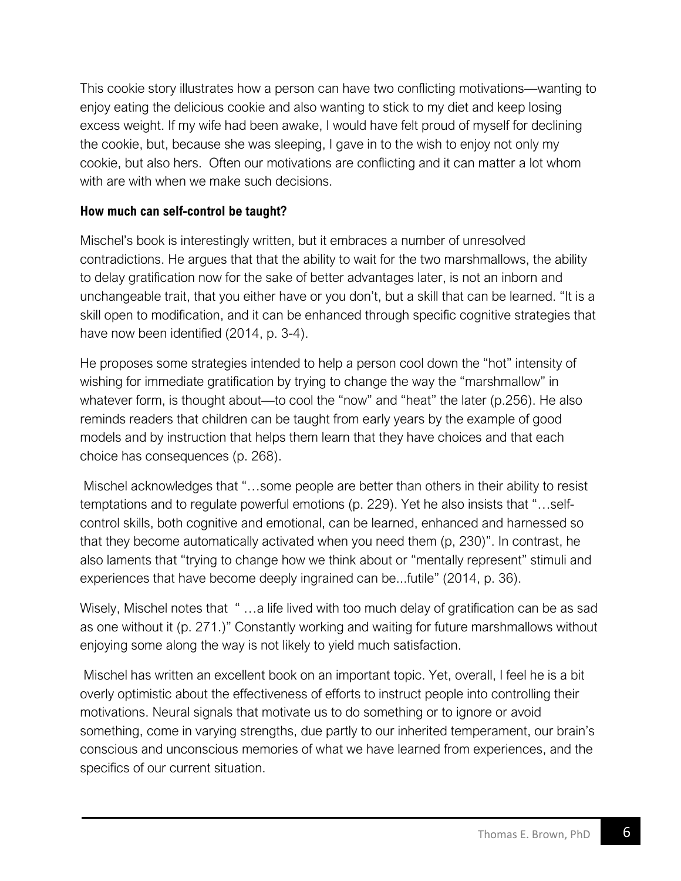This cookie story illustrates how a person can have two conflicting motivations—wanting to enjoy eating the delicious cookie and also wanting to stick to my diet and keep losing excess weight. If my wife had been awake, I would have felt proud of myself for declining the cookie, but, because she was sleeping, I gave in to the wish to enjoy not only my cookie, but also hers. Often our motivations are conflicting and it can matter a lot whom with are with when we make such decisions.

## **How much can self-control be taught?**

Mischel's book is interestingly written, but it embraces a number of unresolved contradictions. He argues that that the ability to wait for the two marshmallows, the ability to delay gratification now for the sake of better advantages later, is not an inborn and unchangeable trait, that you either have or you don't, but a skill that can be learned. "It is a skill open to modification, and it can be enhanced through specific cognitive strategies that have now been identified (2014, p. 3-4).

He proposes some strategies intended to help a person cool down the "hot" intensity of wishing for immediate gratification by trying to change the way the "marshmallow" in whatever form, is thought about—to cool the "now" and "heat" the later (p.256). He also reminds readers that children can be taught from early years by the example of good models and by instruction that helps them learn that they have choices and that each choice has consequences (p. 268).

Mischel acknowledges that "…some people are better than others in their ability to resist temptations and to regulate powerful emotions (p. 229). Yet he also insists that "…selfcontrol skills, both cognitive and emotional, can be learned, enhanced and harnessed so that they become automatically activated when you need them (p, 230)". In contrast, he also laments that "trying to change how we think about or "mentally represent" stimuli and experiences that have become deeply ingrained can be...futile" (2014, p. 36).

Wisely, Mischel notes that " ...a life lived with too much delay of gratification can be as sad as one without it (p. 271.)" Constantly working and waiting for future marshmallows without enjoying some along the way is not likely to yield much satisfaction.

Mischel has written an excellent book on an important topic. Yet, overall, I feel he is a bit overly optimistic about the effectiveness of efforts to instruct people into controlling their motivations. Neural signals that motivate us to do something or to ignore or avoid something, come in varying strengths, due partly to our inherited temperament, our brain's conscious and unconscious memories of what we have learned from experiences, and the specifics of our current situation.